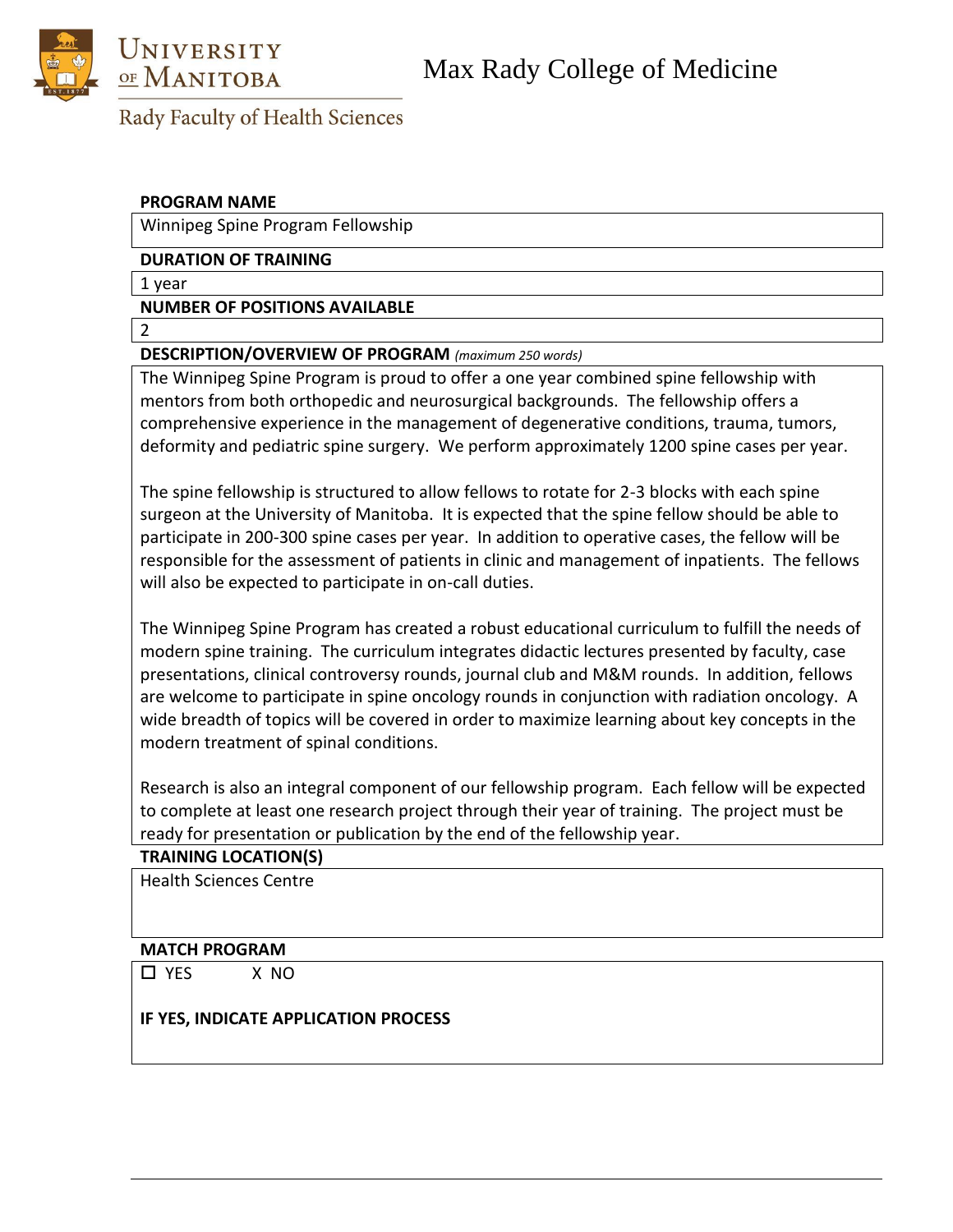



# Rady Faculty of Health Sciences

### **PROGRAM NAME**

Winnipeg Spine Program Fellowship

#### **DURATION OF TRAINING**

1 year

**NUMBER OF POSITIONS AVAILABLE**

2

## **DESCRIPTION/OVERVIEW OF PROGRAM** *(maximum 250 words)*

The Winnipeg Spine Program is proud to offer a one year combined spine fellowship with mentors from both orthopedic and neurosurgical backgrounds. The fellowship offers a comprehensive experience in the management of degenerative conditions, trauma, tumors, deformity and pediatric spine surgery. We perform approximately 1200 spine cases per year.

The spine fellowship is structured to allow fellows to rotate for 2-3 blocks with each spine surgeon at the University of Manitoba. It is expected that the spine fellow should be able to participate in 200-300 spine cases per year. In addition to operative cases, the fellow will be responsible for the assessment of patients in clinic and management of inpatients. The fellows will also be expected to participate in on-call duties.

The Winnipeg Spine Program has created a robust educational curriculum to fulfill the needs of modern spine training. The curriculum integrates didactic lectures presented by faculty, case presentations, clinical controversy rounds, journal club and M&M rounds. In addition, fellows are welcome to participate in spine oncology rounds in conjunction with radiation oncology. A wide breadth of topics will be covered in order to maximize learning about key concepts in the modern treatment of spinal conditions.

Research is also an integral component of our fellowship program. Each fellow will be expected to complete at least one research project through their year of training. The project must be ready for presentation or publication by the end of the fellowship year.

#### **TRAINING LOCATION(S)**

Health Sciences Centre

#### **MATCH PROGRAM**

YES X NO

#### **IF YES, INDICATE APPLICATION PROCESS**